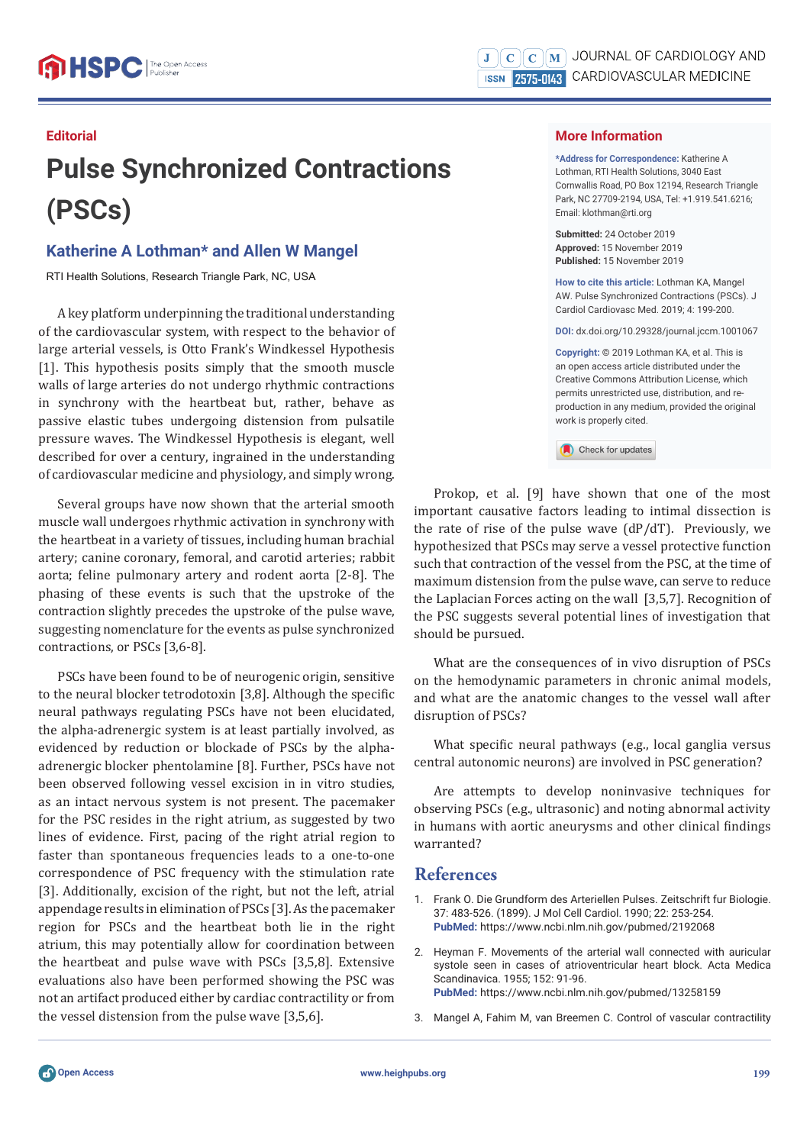### **Editorial**

# **Pulse Synchronized Contractions (PSCs)**

# **Katherine A Lothman\* and Allen W Mangel**

RTI Health Solutions, Research Triangle Park, NC, USA

A key platform underpinning the traditional understanding of the cardiovascular system, with respect to the behavior of large arterial vessels, is Otto Frank's Windkessel Hypothesis [1]. This hypothesis posits simply that the smooth muscle walls of large arteries do not undergo rhythmic contractions in synchrony with the heartbeat but, rather, behave as passive elastic tubes undergoing distension from pulsatile pressure waves. The Windkessel Hypothesis is elegant, well described for over a century, ingrained in the understanding of cardiovascular medicine and physiology, and simply wrong.

Several groups have now shown that the arterial smooth muscle wall undergoes rhythmic activation in synchrony with the heartbeat in a variety of tissues, including human brachial artery; canine coronary, femoral, and carotid arteries; rabbit aorta; feline pulmonary artery and rodent aorta [2-8]. The phasing of these events is such that the upstroke of the contraction slightly precedes the upstroke of the pulse wave, suggesting nomenclature for the events as pulse synchronized contractions, or PSCs [3,6-8].

PSCs have been found to be of neurogenic origin, sensitive to the neural blocker tetrodotoxin [3,8]. Although the specific neural pathways regulating PSCs have not been elucidated, the alpha-adrenergic system is at least partially involved, as evidenced by reduction or blockade of PSCs by the alphaadrenergic blocker phentolamine [8]. Further, PSCs have not been observed following vessel excision in in vitro studies, as an intact nervous system is not present. The pacemaker for the PSC resides in the right atrium, as suggested by two lines of evidence. First, pacing of the right atrial region to faster than spontaneous frequencies leads to a one-to-one correspondence of PSC frequency with the stimulation rate [3]. Additionally, excision of the right, but not the left, atrial appendage results in elimination of PSCs [3]. As the pacemaker region for PSCs and the heartbeat both lie in the right atrium, this may potentially allow for coordination between the heartbeat and pulse wave with PSCs [3,5,8]. Extensive evaluations also have been performed showing the PSC was not an artifact produced either by cardiac contractility or from the vessel distension from the pulse wave [3,5,6].

#### **More Information**

**\*Address for Correspondence:** Katherine A Lothman, RTI Health Solutions, 3040 East Cornwallis Road, PO Box 12194, Research Triangle Park, NC 27709-2194, USA, Tel: +1.919.541.6216; Email: klothman@rti.org

**Submitted:** 24 October 2019 **Approved:** 15 November 2019 **Published:** 15 November 2019

**How to cite this article:** Lothman KA, Mangel AW. Pulse Synchronized Contractions (PSCs). J Cardiol Cardiovasc Med. 2019; 4: 199-200.

**DOI:** dx.doi.org/10.29328/journal.jccm.1001067

**Copyright: ©** 2019 Lothman KA, et al. This is an open access article distributed under the Creative Commons Attribution License, which permits unrestricted use, distribution, and reproduction in any medium, provided the original work is properly cited.

Check for updates

Prokop, et al. [9] have shown that one of the most important causative factors leading to intimal dissection is the rate of rise of the pulse wave (dP/dT). Previously, we hypothesized that PSCs may serve a vessel protective function such that contraction of the vessel from the PSC, at the time of maximum distension from the pulse wave, can serve to reduce the Laplacian Forces acting on the wall [3,5,7]. Recognition of the PSC suggests several potential lines of investigation that should be pursued.

What are the consequences of in vivo disruption of PSCs on the hemodynamic parameters in chronic animal models, and what are the anatomic changes to the vessel wall after disruption of PSCs?

What specific neural pathways (e.g., local ganglia versus central autonomic neurons) are involved in PSC generation?

Are attempts to develop noninvasive techniques for observing PSCs (e.g., ultrasonic) and noting abnormal activity in humans with aortic aneurysms and other clinical findings warranted?

## **References**

- 1. Frank O. Die Grundform des Arteriellen Pulses. Zeitschrift fur Biologie. 37: 483-526. (1899). J Mol Cell Cardiol. 1990; 22: 253-254. **PubMed:** https://www.ncbi.nlm.nih.gov/pubmed/2192068
- 2. Heyman F. Movements of the arterial wall connected with auricular systole seen in cases of atrioventricular heart block. Acta Medica Scandinavica. 1955; 152: 91-96. **PubMed:** https://www.ncbi.nlm.nih.gov/pubmed/13258159
- 3. Mangel A, Fahim M, van Breemen C. Control of vascular contractility